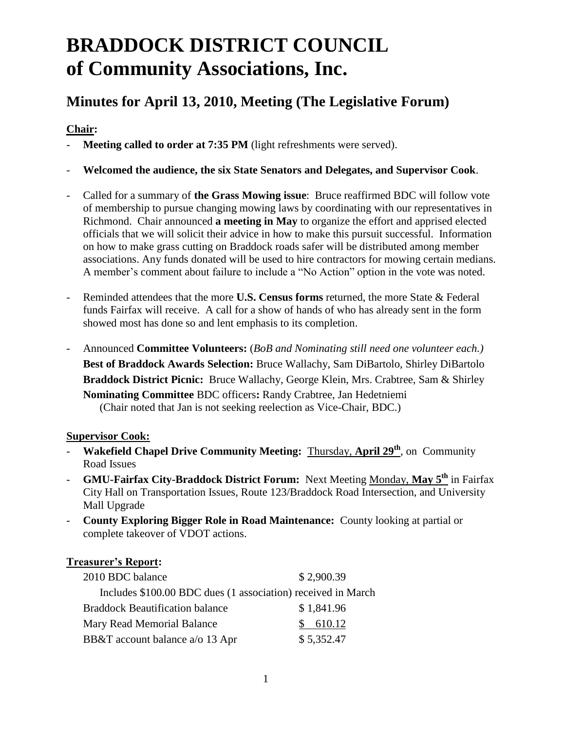# **BRADDOCK DISTRICT COUNCIL of Community Associations, Inc.**

# **Minutes for April 13, 2010, Meeting (The Legislative Forum)**

# **Chair:**

- **Meeting called to order at 7:35 PM** (light refreshments were served).
- **Welcomed the audience, the six State Senators and Delegates, and Supervisor Cook**.
- Called for a summary of **the Grass Mowing issue**: Bruce reaffirmed BDC will follow vote of membership to pursue changing mowing laws by coordinating with our representatives in Richmond. Chair announced **a meeting in May** to organize the effort and apprised elected officials that we will solicit their advice in how to make this pursuit successful. Information on how to make grass cutting on Braddock roads safer will be distributed among member associations. Any funds donated will be used to hire contractors for mowing certain medians. A member's comment about failure to include a "No Action" option in the vote was noted.
- Reminded attendees that the more **U.S. Census forms** returned, the more State & Federal funds Fairfax will receive. A call for a show of hands of who has already sent in the form showed most has done so and lent emphasis to its completion.
- Announced **Committee Volunteers:** (*BoB and Nominating still need one volunteer each.)* **Best of Braddock Awards Selection:** Bruce Wallachy, Sam DiBartolo, Shirley DiBartolo **Braddock District Picnic:** Bruce Wallachy, George Klein, Mrs. Crabtree, Sam & Shirley **Nominating Committee** BDC officers**:** Randy Crabtree, Jan Hedetniemi (Chair noted that Jan is not seeking reelection as Vice-Chair, BDC.)

### **Supervisor Cook:**

- **Wakefield Chapel Drive Community Meeting:** Thursday, **April 29th**, on Community Road Issues
- **GMU-Fairfax City-Braddock District Forum:** Next Meeting Monday, **May 5th** in Fairfax City Hall on Transportation Issues, Route 123/Braddock Road Intersection, and University Mall Upgrade
- **County Exploring Bigger Role in Road Maintenance:** County looking at partial or complete takeover of VDOT actions.

# **Treasurer's Report:**

| 2010 BDC balance                                             | \$2,900.39 |
|--------------------------------------------------------------|------------|
| Includes \$100.00 BDC dues (1 association) received in March |            |
| <b>Braddock Beautification balance</b>                       | \$1,841.96 |
| Mary Read Memorial Balance                                   | 610.12     |
| BB&T account balance a/o 13 Apr                              | \$5,352.47 |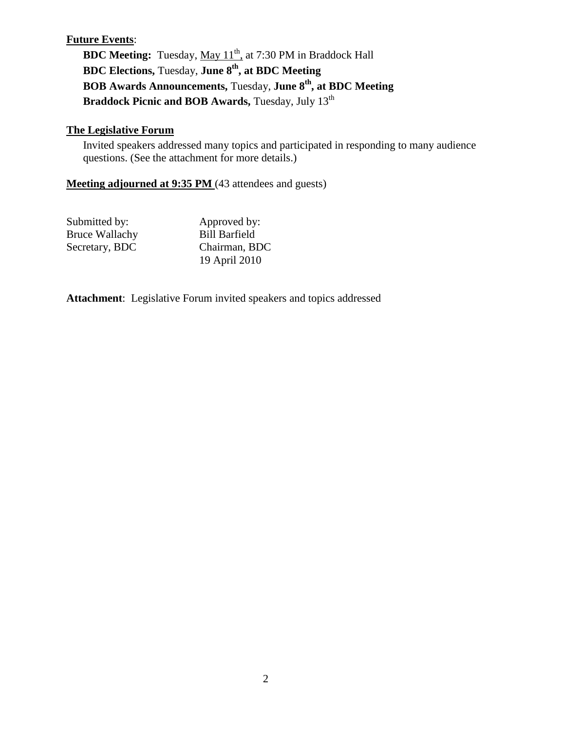# **Future Events**:

**BDC Meeting:** Tuesday, May 11<sup>th</sup>, at 7:30 PM in Braddock Hall **BDC Elections,** Tuesday, **June 8th, at BDC Meeting BOB Awards Announcements,** Tuesday, **June 8th, at BDC Meeting Braddock Picnic and BOB Awards, Tuesday, July 13<sup>th</sup>** 

#### **The Legislative Forum**

Invited speakers addressed many topics and participated in responding to many audience questions. (See the attachment for more details.)

# **Meeting adjourned at 9:35 PM** (43 attendees and guests)

| Submitted by:         | Approved by:         |
|-----------------------|----------------------|
| <b>Bruce Wallachy</b> | <b>Bill Barfield</b> |
| Secretary, BDC        | Chairman, BDC        |
|                       | 19 April 2010        |

**Attachment**: Legislative Forum invited speakers and topics addressed